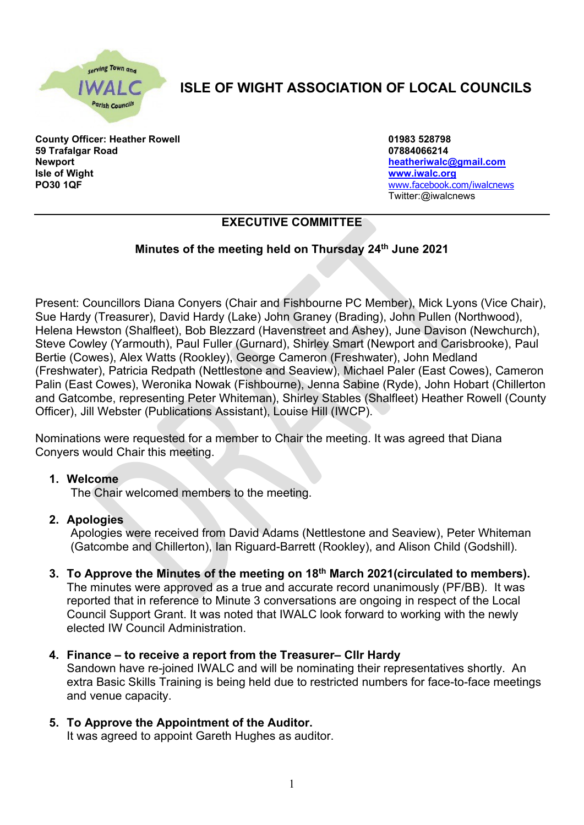

# **ISLE OF WIGHT ASSOCIATION OF LOCAL COUNCILS**

**County Officer: Heather Rowell 01983 528798 59 Trafalgar Road 07884066214 Newport [heatheriwalc@gmail.com](mailto:heatheriwalc@gmail.com) Isle of Wight [www.iwalc.org](http://www.iwalc.org/) PO30 1QF** [www.facebook.com/iwalcnews](http://www.facebook.com/iwalcnews)

Twitter:@iwalcnews

# **EXECUTIVE COMMITTEE**

# **Minutes of the meeting held on Thursday 24th June 2021**

Present: Councillors Diana Conyers (Chair and Fishbourne PC Member), Mick Lyons (Vice Chair), Sue Hardy (Treasurer), David Hardy (Lake) John Graney (Brading), John Pullen (Northwood), Helena Hewston (Shalfleet), Bob Blezzard (Havenstreet and Ashey), June Davison (Newchurch), Steve Cowley (Yarmouth), Paul Fuller (Gurnard), Shirley Smart (Newport and Carisbrooke), Paul Bertie (Cowes), Alex Watts (Rookley), George Cameron (Freshwater), John Medland (Freshwater), Patricia Redpath (Nettlestone and Seaview), Michael Paler (East Cowes), Cameron Palin (East Cowes), Weronika Nowak (Fishbourne), Jenna Sabine (Ryde), John Hobart (Chillerton and Gatcombe, representing Peter Whiteman), Shirley Stables (Shalfleet) Heather Rowell (County Officer), Jill Webster (Publications Assistant), Louise Hill (IWCP).

Nominations were requested for a member to Chair the meeting. It was agreed that Diana Conyers would Chair this meeting.

#### **1. Welcome**

The Chair welcomed members to the meeting.

#### **2. Apologies**

Apologies were received from David Adams (Nettlestone and Seaview), Peter Whiteman (Gatcombe and Chillerton), Ian Riguard-Barrett (Rookley), and Alison Child (Godshill).

- **3. To Approve the Minutes of the meeting on 18th March 2021(circulated to members).** The minutes were approved as a true and accurate record unanimously (PF/BB). It was reported that in reference to Minute 3 conversations are ongoing in respect of the Local Council Support Grant. It was noted that IWALC look forward to working with the newly elected IW Council Administration.
- **4. Finance – to receive a report from the Treasurer– Cllr Hardy** Sandown have re-joined IWALC and will be nominating their representatives shortly. An extra Basic Skills Training is being held due to restricted numbers for face-to-face meetings and venue capacity.
- **5. To Approve the Appointment of the Auditor.** It was agreed to appoint Gareth Hughes as auditor.